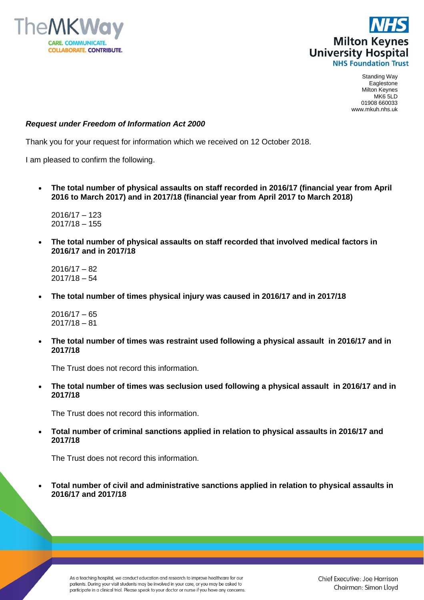



## *Request under Freedom of Information Act 2000*

Thank you for your request for information which we received on 12 October 2018.

I am pleased to confirm the following.

 **The total number of physical assaults on staff recorded in 2016/17 (financial year from April 2016 to March 2017) and in 2017/18 (financial year from April 2017 to March 2018)**

2016/17 – 123 2017/18 – 155

 **The total number of physical assaults on staff recorded that involved medical factors in 2016/17 and in 2017/18**

2016/17 – 82 2017/18 – 54

**The total number of times physical injury was caused in 2016/17 and in 2017/18**

 $2016/17 - 65$  $2017/18 - 81$ 

 **The total number of times was restraint used following a physical assault in 2016/17 and in 2017/18**

The Trust does not record this information.

 **The total number of times was seclusion used following a physical assault in 2016/17 and in 2017/18**

The Trust does not record this information.

 **Total number of criminal sanctions applied in relation to physical assaults in 2016/17 and 2017/18**

The Trust does not record this information.

 **Total number of civil and administrative sanctions applied in relation to physical assaults in 2016/17 and 2017/18**

As a teaching hospital, we conduct education and research to improve healthcare for our patients. During your visit students may be involved in your care, or you may be asked to participate in a clinical trial. Please speak to your doctor or nurse if you have any concerns.